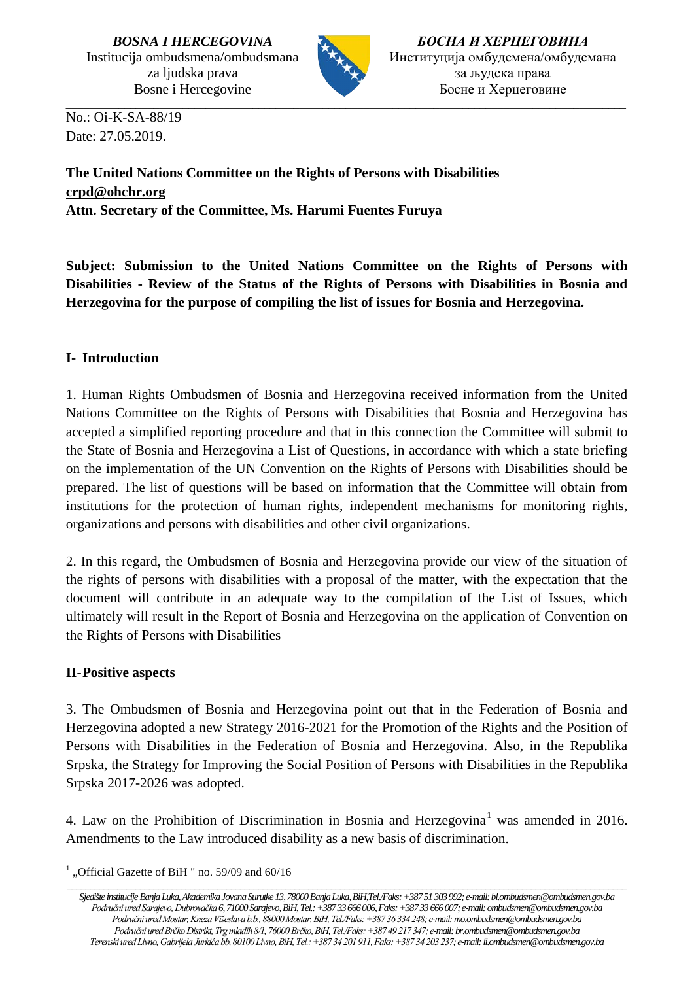

\_\_\_\_\_\_\_\_\_\_\_\_\_\_\_\_\_\_\_\_\_\_\_\_\_\_\_\_\_\_\_\_\_\_\_\_\_\_\_\_\_\_\_\_\_\_\_\_\_\_\_\_\_\_\_\_\_\_\_\_\_\_\_\_\_\_\_\_\_\_\_\_\_\_\_\_\_\_\_\_\_\_\_\_\_\_\_\_\_\_\_\_\_\_\_\_

*БОСНА И ХЕРЦЕГОВИНА* Институција омбудсмена/омбудсмана за људска права Босне и Херцеговине

No.: Oi-K-SA-88/19 Date: 27.05.2019.

# **The United Nations Committee on the Rights of Persons with Disabilities [crpd@ohchr.org](mailto:crpd@ohchr.org) Attn. Secretary of the Committee, Ms. Harumi Fuentes Furuya**

**Subject: Submission to the United Nations Committee on the Rights of Persons with Disabilities - Review of the Status of the Rights of Persons with Disabilities in Bosnia and Herzegovina for the purpose of compiling the list of issues for Bosnia and Herzegovina.** 

# **I- Introduction**

1. Human Rights Ombudsmen of Bosnia and Herzegovina received information from the United Nations Committee on the Rights of Persons with Disabilities that Bosnia and Herzegovina has accepted a simplified reporting procedure and that in this connection the Committee will submit to the State of Bosnia and Herzegovina a List of Questions, in accordance with which a state briefing on the implementation of the UN Convention on the Rights of Persons with Disabilities should be prepared. The list of questions will be based on information that the Committee will obtain from institutions for the protection of human rights, independent mechanisms for monitoring rights, organizations and persons with disabilities and other civil organizations.

2. In this regard, the Ombudsmen of Bosnia and Herzegovina provide our view of the situation of the rights of persons with disabilities with a proposal of the matter, with the expectation that the document will contribute in an adequate way to the compilation of the List of Issues, which ultimately will result in the Report of Bosnia and Herzegovina on the application of Convention on the Rights of Persons with Disabilities

# **II-Positive aspects**

3. The Ombudsmen of Bosnia and Herzegovina point out that in the Federation of Bosnia and Herzegovina adopted a new Strategy 2016-2021 for the Promotion of the Rights and the Position of Persons with Disabilities in the Federation of Bosnia and Herzegovina. Also, in the Republika Srpska, the Strategy for Improving the Social Position of Persons with Disabilities in the Republika Srpska 2017-2026 was adopted.

4. Law on the Prohibition of Discrimination in Bosnia and Herzegovina<sup>[1](#page-0-0)</sup> was amended in 2016. Amendments to the Law introduced disability as a new basis of discrimination.

<span id="page-0-0"></span><sup>-</sup>"Official Gazette of BiH " no. 59/09 and 60/16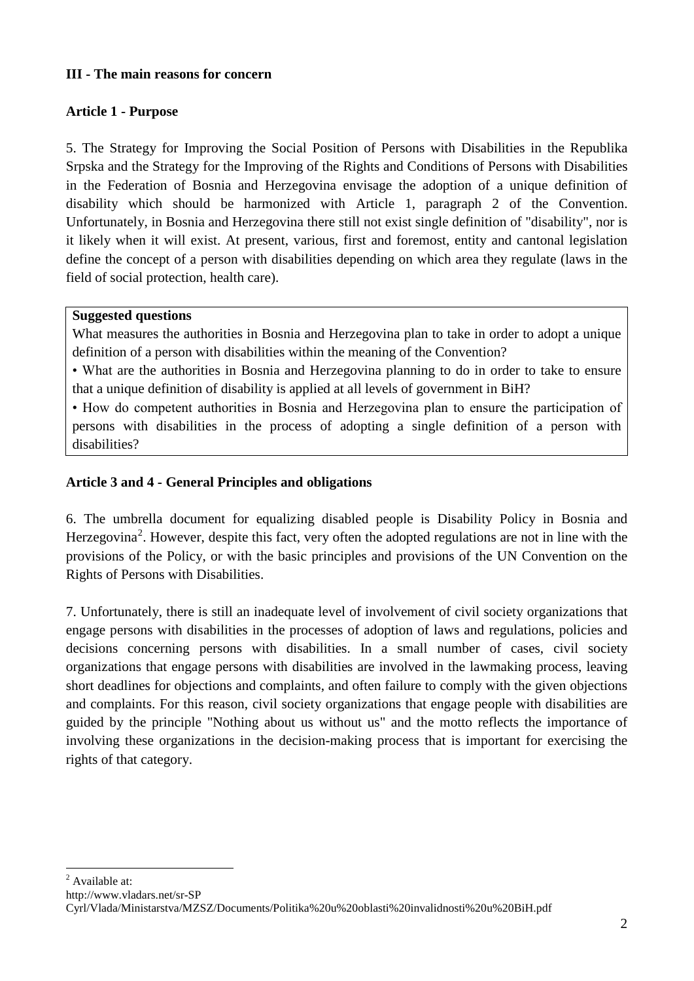### **III - The main reasons for concern**

#### **Article 1 - Purpose**

5. The Strategy for Improving the Social Position of Persons with Disabilities in the Republika Srpska and the Strategy for the Improving of the Rights and Conditions of Persons with Disabilities in the Federation of Bosnia and Herzegovina envisage the adoption of a unique definition of disability which should be harmonized with Article 1, paragraph 2 of the Convention. Unfortunately, in Bosnia and Herzegovina there still not exist single definition of "disability", nor is it likely when it will exist. At present, various, first and foremost, entity and cantonal legislation define the concept of a person with disabilities depending on which area they regulate (laws in the field of social protection, health care).

#### **Suggested questions**

What measures the authorities in Bosnia and Herzegovina plan to take in order to adopt a unique definition of a person with disabilities within the meaning of the Convention?

• What are the authorities in Bosnia and Herzegovina planning to do in order to take to ensure that a unique definition of disability is applied at all levels of government in BiH?

• How do competent authorities in Bosnia and Herzegovina plan to ensure the participation of persons with disabilities in the process of adopting a single definition of a person with disabilities?

### **Article 3 and 4 - General Principles and obligations**

6. The umbrella document for equalizing disabled people is Disability Policy in Bosnia and Herzegovina<sup>[2](#page-1-0)</sup>. However, despite this fact, very often the adopted regulations are not in line with the provisions of the Policy, or with the basic principles and provisions of the UN Convention on the Rights of Persons with Disabilities.

7. Unfortunately, there is still an inadequate level of involvement of civil society organizations that engage persons with disabilities in the processes of adoption of laws and regulations, policies and decisions concerning persons with disabilities. In a small number of cases, civil society organizations that engage persons with disabilities are involved in the lawmaking process, leaving short deadlines for objections and complaints, and often failure to comply with the given objections and complaints. For this reason, civil society organizations that engage people with disabilities are guided by the principle "Nothing about us without us" and the motto reflects the importance of involving these organizations in the decision-making process that is important for exercising the rights of that category.

<span id="page-1-0"></span>- $<sup>2</sup>$  Available at:</sup>

http://www.vladars.net/sr-SP

Cyrl/Vlada/Ministarstva/MZSZ/Documents/Politika%20u%20oblasti%20invalidnosti%20u%20BiH.pdf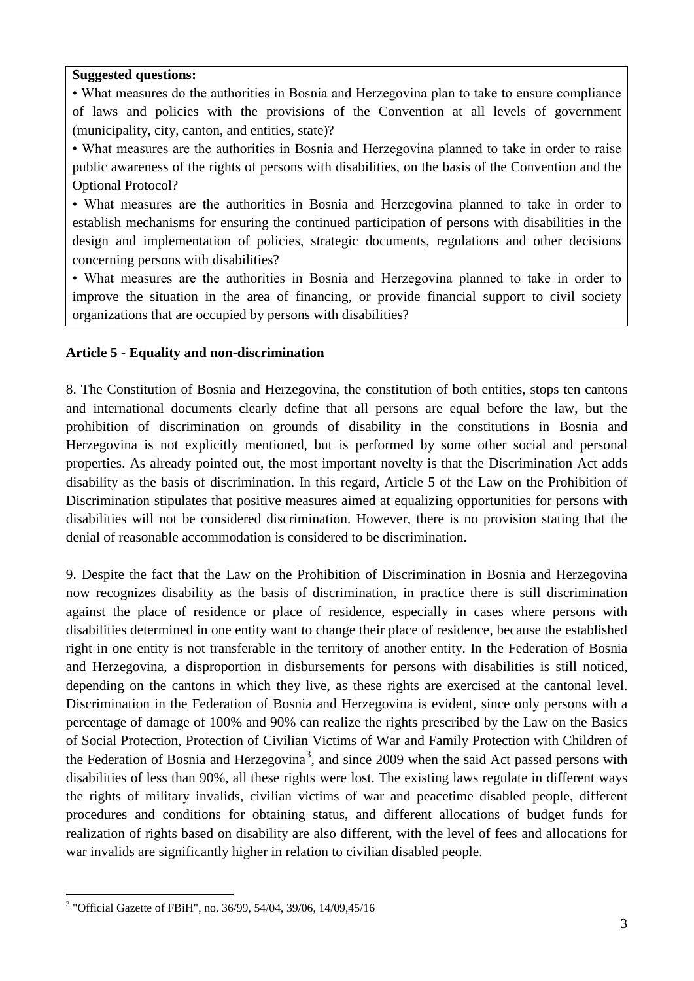• What measures do the authorities in Bosnia and Herzegovina plan to take to ensure compliance of laws and policies with the provisions of the Convention at all levels of government (municipality, city, canton, and entities, state)?

• What measures are the authorities in Bosnia and Herzegovina planned to take in order to raise public awareness of the rights of persons with disabilities, on the basis of the Convention and the Optional Protocol?

• What measures are the authorities in Bosnia and Herzegovina planned to take in order to establish mechanisms for ensuring the continued participation of persons with disabilities in the design and implementation of policies, strategic documents, regulations and other decisions concerning persons with disabilities?

• What measures are the authorities in Bosnia and Herzegovina planned to take in order to improve the situation in the area of financing, or provide financial support to civil society organizations that are occupied by persons with disabilities?

## **Article 5 - Equality and non-discrimination**

8. The Constitution of Bosnia and Herzegovina, the constitution of both entities, stops ten cantons and international documents clearly define that all persons are equal before the law, but the prohibition of discrimination on grounds of disability in the constitutions in Bosnia and Herzegovina is not explicitly mentioned, but is performed by some other social and personal properties. As already pointed out, the most important novelty is that the Discrimination Act adds disability as the basis of discrimination. In this regard, Article 5 of the Law on the Prohibition of Discrimination stipulates that positive measures aimed at equalizing opportunities for persons with disabilities will not be considered discrimination. However, there is no provision stating that the denial of reasonable accommodation is considered to be discrimination.

9. Despite the fact that the Law on the Prohibition of Discrimination in Bosnia and Herzegovina now recognizes disability as the basis of discrimination, in practice there is still discrimination against the place of residence or place of residence, especially in cases where persons with disabilities determined in one entity want to change their place of residence, because the established right in one entity is not transferable in the territory of another entity. In the Federation of Bosnia and Herzegovina, a disproportion in disbursements for persons with disabilities is still noticed, depending on the cantons in which they live, as these rights are exercised at the cantonal level. Discrimination in the Federation of Bosnia and Herzegovina is evident, since only persons with a percentage of damage of 100% and 90% can realize the rights prescribed by the Law on the Basics of Social Protection, Protection of Civilian Victims of War and Family Protection with Children of the Federation of Bosnia and Herzegovina<sup>[3](#page-2-0)</sup>, and since 2009 when the said Act passed persons with disabilities of less than 90%, all these rights were lost. The existing laws regulate in different ways the rights of military invalids, civilian victims of war and peacetime disabled people, different procedures and conditions for obtaining status, and different allocations of budget funds for realization of rights based on disability are also different, with the level of fees and allocations for war invalids are significantly higher in relation to civilian disabled people.

<span id="page-2-0"></span><sup>-</sup><sup>3</sup> "Official Gazette of FBiH", no. 36/99, 54/04, 39/06, 14/09,45/16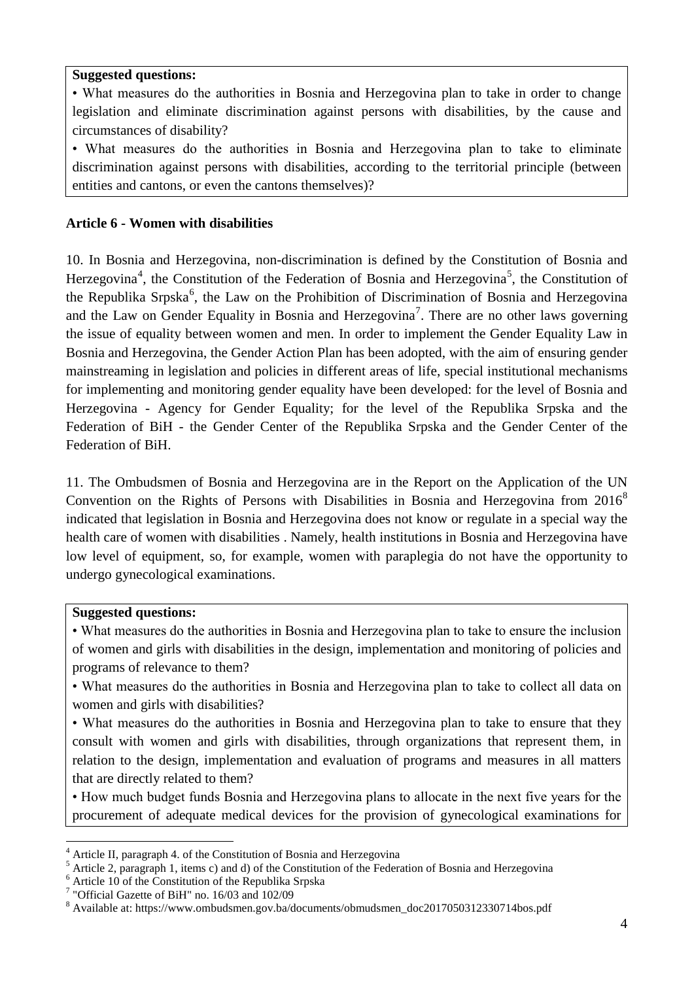• What measures do the authorities in Bosnia and Herzegovina plan to take in order to change legislation and eliminate discrimination against persons with disabilities, by the cause and circumstances of disability?

• What measures do the authorities in Bosnia and Herzegovina plan to take to eliminate discrimination against persons with disabilities, according to the territorial principle (between entities and cantons, or even the cantons themselves)?

## **Article 6 - Women with disabilities**

10. In Bosnia and Herzegovina, non-discrimination is defined by the Constitution of Bosnia and Herzegovina<sup>[4](#page-3-0)</sup>, the Constitution of the Federation of Bosnia and Herzegovina<sup>[5](#page-3-1)</sup>, the Constitution of the Republika Srpska<sup>[6](#page-3-2)</sup>, the Law on the Prohibition of Discrimination of Bosnia and Herzegovina and the Law on Gender Equality in Bosnia and Herzegovina<sup>[7](#page-3-3)</sup>. There are no other laws governing the issue of equality between women and men. In order to implement the Gender Equality Law in Bosnia and Herzegovina, the Gender Action Plan has been adopted, with the aim of ensuring gender mainstreaming in legislation and policies in different areas of life, special institutional mechanisms for implementing and monitoring gender equality have been developed: for the level of Bosnia and Herzegovina - Agency for Gender Equality; for the level of the Republika Srpska and the Federation of BiH - the Gender Center of the Republika Srpska and the Gender Center of the Federation of BiH.

11. The Ombudsmen of Bosnia and Herzegovina are in the Report on the Application of the UN Convention on the Rights of Persons with Disabilities in Bosnia and Herzegovina from  $2016^8$  $2016^8$ indicated that legislation in Bosnia and Herzegovina does not know or regulate in a special way the health care of women with disabilities . Namely, health institutions in Bosnia and Herzegovina have low level of equipment, so, for example, women with paraplegia do not have the opportunity to undergo gynecological examinations.

### **Suggested questions:**

-

• What measures do the authorities in Bosnia and Herzegovina plan to take to ensure the inclusion of women and girls with disabilities in the design, implementation and monitoring of policies and programs of relevance to them?

• What measures do the authorities in Bosnia and Herzegovina plan to take to collect all data on women and girls with disabilities?

• What measures do the authorities in Bosnia and Herzegovina plan to take to ensure that they consult with women and girls with disabilities, through organizations that represent them, in relation to the design, implementation and evaluation of programs and measures in all matters that are directly related to them?

• How much budget funds Bosnia and Herzegovina plans to allocate in the next five years for the procurement of adequate medical devices for the provision of gynecological examinations for

<span id="page-3-1"></span><span id="page-3-0"></span><sup>&</sup>lt;sup>4</sup> Article II, paragraph 4. of the Constitution of Bosnia and Herzegovina<br><sup>5</sup> Article 2, paragraph 1, items c) and d) of the Constitution of the Federation of Bosnia and Herzegovina<br><sup>6</sup> Article 10 of the Constitution of

<span id="page-3-2"></span>

<span id="page-3-3"></span> $7$  "Official Gazette of BiH" no. 16/03 and 102/09

<span id="page-3-4"></span><sup>8</sup> Available at: https://www.ombudsmen.gov.ba/documents/obmudsmen\_doc2017050312330714bos.pdf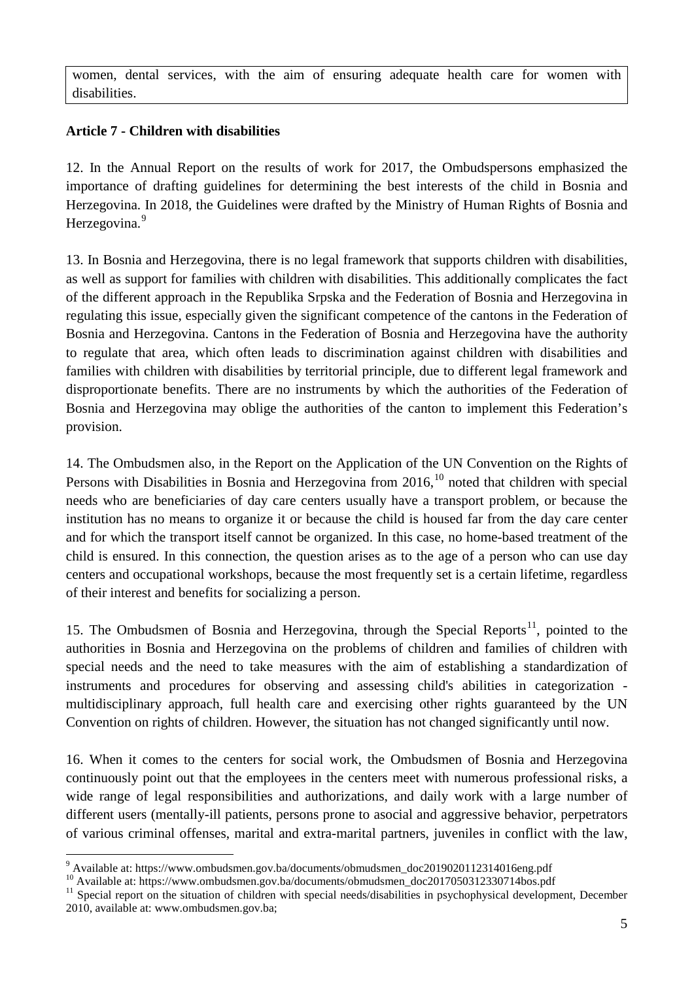women, dental services, with the aim of ensuring adequate health care for women with disabilities.

# **Article 7 - Children with disabilities**

12. In the Annual Report on the results of work for 2017, the Ombudspersons emphasized the importance of drafting guidelines for determining the best interests of the child in Bosnia and Herzegovina. In 2018, the Guidelines were drafted by the Ministry of Human Rights of Bosnia and Herzegovina.<sup>[9](#page-4-0)</sup>

13. In Bosnia and Herzegovina, there is no legal framework that supports children with disabilities, as well as support for families with children with disabilities. This additionally complicates the fact of the different approach in the Republika Srpska and the Federation of Bosnia and Herzegovina in regulating this issue, especially given the significant competence of the cantons in the Federation of Bosnia and Herzegovina. Cantons in the Federation of Bosnia and Herzegovina have the authority to regulate that area, which often leads to discrimination against children with disabilities and families with children with disabilities by territorial principle, due to different legal framework and disproportionate benefits. There are no instruments by which the authorities of the Federation of Bosnia and Herzegovina may oblige the authorities of the canton to implement this Federation's provision.

14. The Ombudsmen also, in the Report on the Application of the UN Convention on the Rights of Persons with Disabilities in Bosnia and Herzegovina from  $2016$ ,  $^{10}$  $^{10}$  $^{10}$  noted that children with special needs who are beneficiaries of day care centers usually have a transport problem, or because the institution has no means to organize it or because the child is housed far from the day care center and for which the transport itself cannot be organized. In this case, no home-based treatment of the child is ensured. In this connection, the question arises as to the age of a person who can use day centers and occupational workshops, because the most frequently set is a certain lifetime, regardless of their interest and benefits for socializing a person.

15. The Ombudsmen of Bosnia and Herzegovina, through the Special Reports<sup>11</sup>, pointed to the authorities in Bosnia and Herzegovina on the problems of children and families of children with special needs and the need to take measures with the aim of establishing a standardization of instruments and procedures for observing and assessing child's abilities in categorization multidisciplinary approach, full health care and exercising other rights guaranteed by the UN Convention on rights of children. However, the situation has not changed significantly until now.

16. When it comes to the centers for social work, the Ombudsmen of Bosnia and Herzegovina continuously point out that the employees in the centers meet with numerous professional risks, a wide range of legal responsibilities and authorizations, and daily work with a large number of different users (mentally-ill patients, persons prone to asocial and aggressive behavior, perpetrators of various criminal offenses, marital and extra-marital partners, juveniles in conflict with the law,

<sup>&</sup>lt;sup>9</sup> Available at: https://www.ombudsmen.gov.ba/documents/obmudsmen\_doc2019020112314016eng.pdf

<span id="page-4-1"></span><span id="page-4-0"></span>Available at: https://www.ombudsmen.gov.ba/documents/obmudsmen\_doc2017050312330714bos.pdf<br><sup>10</sup> Available at: https://www.ombudsmen.gov.ba/documents/obmudsmen\_doc2017050312330714bos.pdf<br><sup>11</sup> Special report on the situation

<span id="page-4-2"></span><sup>2010,</sup> available at: www.ombudsmen.gov.ba;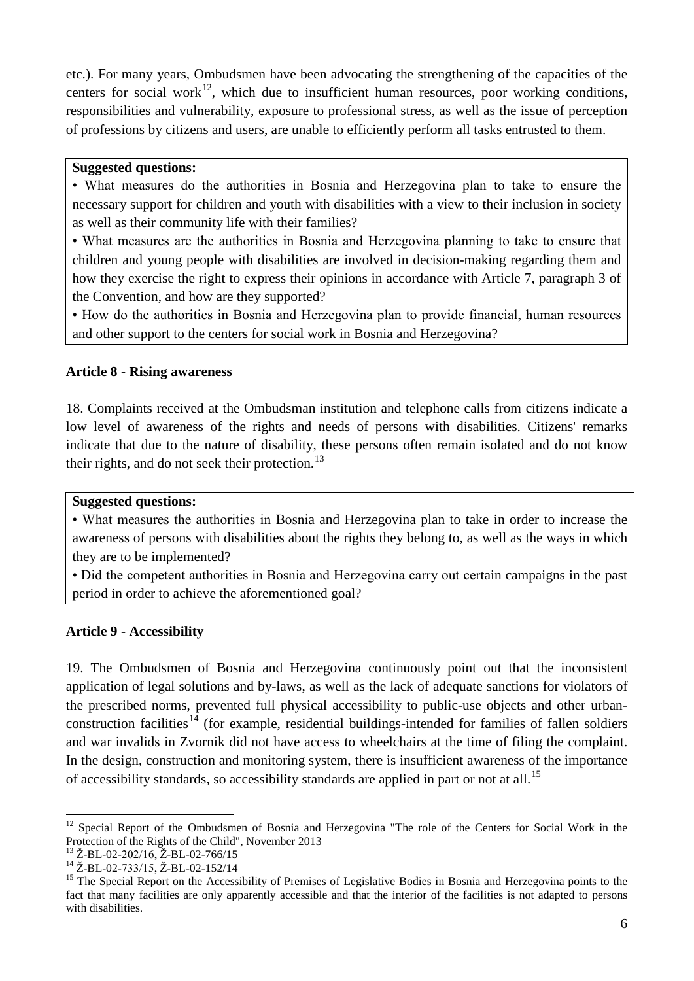etc.). For many years, Ombudsmen have been advocating the strengthening of the capacities of the centers for social work<sup>12</sup>, which due to insufficient human resources, poor working conditions, responsibilities and vulnerability, exposure to professional stress, as well as the issue of perception of professions by citizens and users, are unable to efficiently perform all tasks entrusted to them.

#### **Suggested questions:**

• What measures do the authorities in Bosnia and Herzegovina plan to take to ensure the necessary support for children and youth with disabilities with a view to their inclusion in society as well as their community life with their families?

• What measures are the authorities in Bosnia and Herzegovina planning to take to ensure that children and young people with disabilities are involved in decision-making regarding them and how they exercise the right to express their opinions in accordance with Article 7, paragraph 3 of the Convention, and how are they supported?

• How do the authorities in Bosnia and Herzegovina plan to provide financial, human resources and other support to the centers for social work in Bosnia and Herzegovina?

### **Article 8 - Rising awareness**

18. Complaints received at the Ombudsman institution and telephone calls from citizens indicate a low level of awareness of the rights and needs of persons with disabilities. Citizens' remarks indicate that due to the nature of disability, these persons often remain isolated and do not know their rights, and do not seek their protection.<sup>[13](#page-5-1)</sup>

### **Suggested questions:**

• What measures the authorities in Bosnia and Herzegovina plan to take in order to increase the awareness of persons with disabilities about the rights they belong to, as well as the ways in which they are to be implemented?

• Did the competent authorities in Bosnia and Herzegovina carry out certain campaigns in the past period in order to achieve the aforementioned goal?

# **Article 9 - Accessibility**

19. The Ombudsmen of Bosnia and Herzegovina continuously point out that the inconsistent application of legal solutions and by-laws, as well as the lack of adequate sanctions for violators of the prescribed norms, prevented full physical accessibility to public-use objects and other urban-construction facilities<sup>[14](#page-5-2)</sup> (for example, residential buildings-intended for families of fallen soldiers and war invalids in Zvornik did not have access to wheelchairs at the time of filing the complaint. In the design, construction and monitoring system, there is insufficient awareness of the importance of accessibility standards, so accessibility standards are applied in part or not at all.<sup>[15](#page-5-3)</sup>

<span id="page-5-0"></span><sup>-</sup><sup>12</sup> Special Report of the Ombudsmen of Bosnia and Herzegovina "The role of the Centers for Social Work in the Protection of the Rights of the Child", November 2013<br><sup>13</sup> Ž-BL-02-202/16, Ž-BL-02-766/15

<span id="page-5-1"></span>

<span id="page-5-3"></span>

<span id="page-5-2"></span><sup>&</sup>lt;sup>14</sup> Ž-BL-02-733/15, Ž-BL-02-152/14<br><sup>15</sup> The Special Report on the Accessibility of Premises of Legislative Bodies in Bosnia and Herzegovina points to the fact that many facilities are only apparently accessible and that the interior of the facilities is not adapted to persons with disabilities.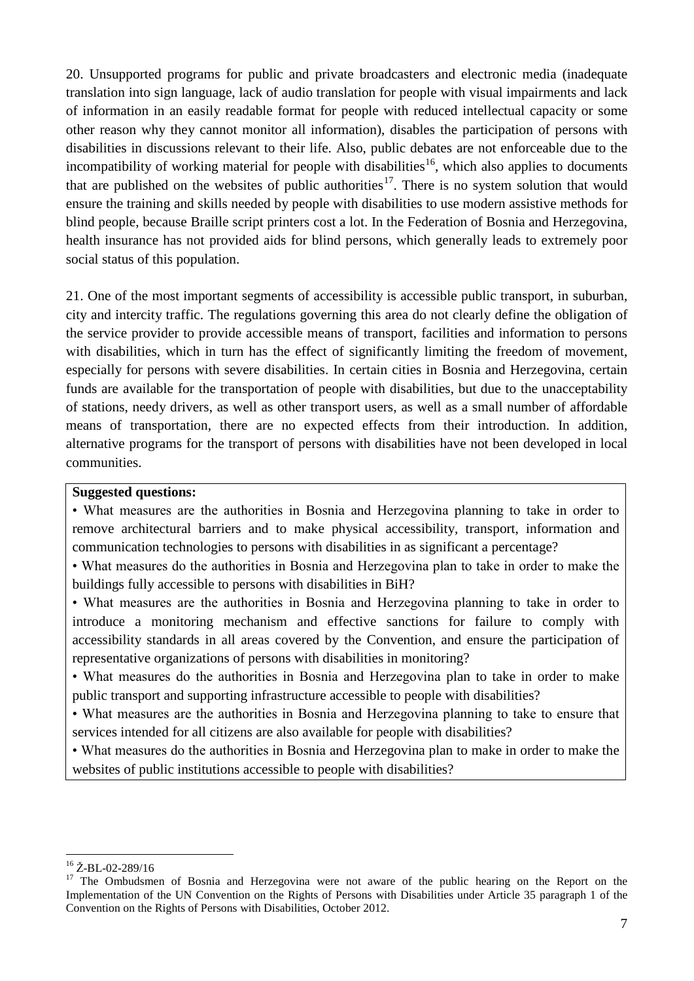20. Unsupported programs for public and private broadcasters and electronic media (inadequate translation into sign language, lack of audio translation for people with visual impairments and lack of information in an easily readable format for people with reduced intellectual capacity or some other reason why they cannot monitor all information), disables the participation of persons with disabilities in discussions relevant to their life. Also, public debates are not enforceable due to the incompatibility of working material for people with disabilities<sup>[16](#page-6-0)</sup>, which also applies to documents that are published on the websites of public authorities<sup>17</sup>. There is no system solution that would ensure the training and skills needed by people with disabilities to use modern assistive methods for blind people, because Braille script printers cost a lot. In the Federation of Bosnia and Herzegovina, health insurance has not provided aids for blind persons, which generally leads to extremely poor social status of this population.

21. One of the most important segments of accessibility is accessible public transport, in suburban, city and intercity traffic. The regulations governing this area do not clearly define the obligation of the service provider to provide accessible means of transport, facilities and information to persons with disabilities, which in turn has the effect of significantly limiting the freedom of movement, especially for persons with severe disabilities. In certain cities in Bosnia and Herzegovina, certain funds are available for the transportation of people with disabilities, but due to the unacceptability of stations, needy drivers, as well as other transport users, as well as a small number of affordable means of transportation, there are no expected effects from their introduction. In addition, alternative programs for the transport of persons with disabilities have not been developed in local communities.

### **Suggested questions:**

• What measures are the authorities in Bosnia and Herzegovina planning to take in order to remove architectural barriers and to make physical accessibility, transport, information and communication technologies to persons with disabilities in as significant a percentage?

• What measures do the authorities in Bosnia and Herzegovina plan to take in order to make the buildings fully accessible to persons with disabilities in BiH?

• What measures are the authorities in Bosnia and Herzegovina planning to take in order to introduce a monitoring mechanism and effective sanctions for failure to comply with accessibility standards in all areas covered by the Convention, and ensure the participation of representative organizations of persons with disabilities in monitoring?

• What measures do the authorities in Bosnia and Herzegovina plan to take in order to make public transport and supporting infrastructure accessible to people with disabilities?

• What measures are the authorities in Bosnia and Herzegovina planning to take to ensure that services intended for all citizens are also available for people with disabilities?

• What measures do the authorities in Bosnia and Herzegovina plan to make in order to make the websites of public institutions accessible to people with disabilities?

<sup>-</sup>

<span id="page-6-1"></span><span id="page-6-0"></span><sup>&</sup>lt;sup>16</sup>  $\text{Z-BL-02-289/16}$  <sup>16</sup>  $\text{Z-BL-02-289/16}$  and Herzegovina were not aware of the public hearing on the Report on the Implementation of the UN Convention on the Rights of Persons with Disabilities under Article 35 paragraph 1 of the Convention on the Rights of Persons with Disabilities, October 2012.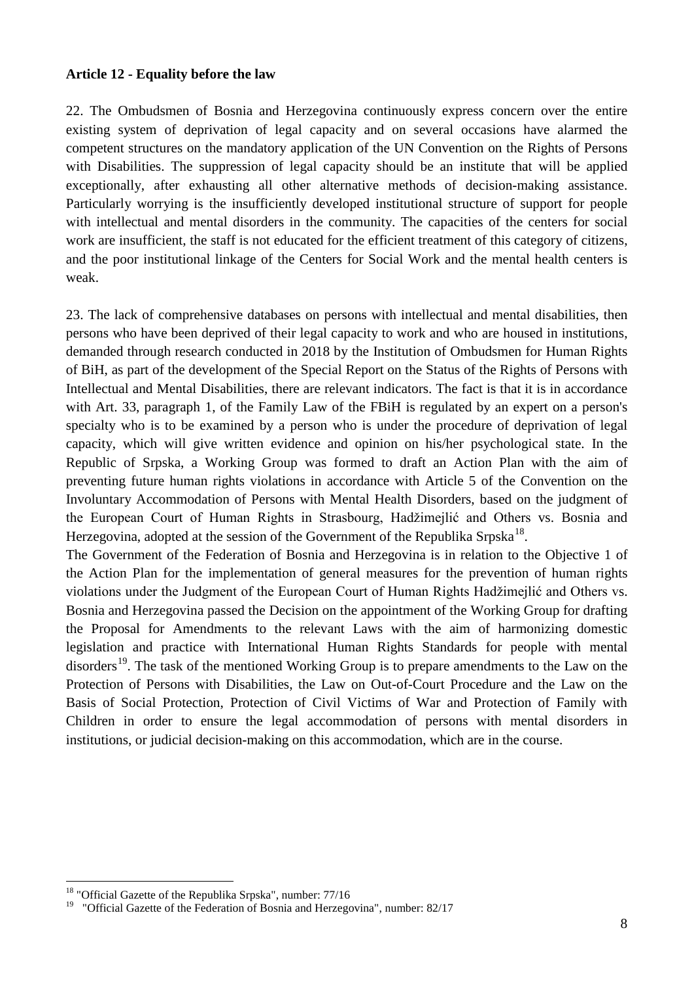#### **Article 12 - Equality before the law**

22. The Ombudsmen of Bosnia and Herzegovina continuously express concern over the entire existing system of deprivation of legal capacity and on several occasions have alarmed the competent structures on the mandatory application of the UN Convention on the Rights of Persons with Disabilities. The suppression of legal capacity should be an institute that will be applied exceptionally, after exhausting all other alternative methods of decision-making assistance. Particularly worrying is the insufficiently developed institutional structure of support for people with intellectual and mental disorders in the community. The capacities of the centers for social work are insufficient, the staff is not educated for the efficient treatment of this category of citizens, and the poor institutional linkage of the Centers for Social Work and the mental health centers is weak.

23. The lack of comprehensive databases on persons with intellectual and mental disabilities, then persons who have been deprived of their legal capacity to work and who are housed in institutions, demanded through research conducted in 2018 by the Institution of Ombudsmen for Human Rights of BiH, as part of the development of the Special Report on the Status of the Rights of Persons with Intellectual and Mental Disabilities, there are relevant indicators. The fact is that it is in accordance with Art. 33, paragraph 1, of the Family Law of the FBiH is regulated by an expert on a person's specialty who is to be examined by a person who is under the procedure of deprivation of legal capacity, which will give written evidence and opinion on his/her psychological state. In the Republic of Srpska, a Working Group was formed to draft an Action Plan with the aim of preventing future human rights violations in accordance with Article 5 of the Convention on the Involuntary Accommodation of Persons with Mental Health Disorders, based on the judgment of the European Court of Human Rights in Strasbourg, Hadžimejlić and Others vs. Bosnia and Herzegovina, adopted at the session of the Government of the Republika Srpska<sup>[18](#page-7-0)</sup>.

The Government of the Federation of Bosnia and Herzegovina is in relation to the Objective 1 of the Action Plan for the implementation of general measures for the prevention of human rights violations under the Judgment of the European Court of Human Rights Hadžimejlić and Others vs. Bosnia and Herzegovina passed the Decision on the appointment of the Working Group for drafting the Proposal for Amendments to the relevant Laws with the aim of harmonizing domestic legislation and practice with International Human Rights Standards for people with mental disorders<sup>[19](#page-7-1)</sup>. The task of the mentioned Working Group is to prepare amendments to the Law on the Protection of Persons with Disabilities, the Law on Out-of-Court Procedure and the Law on the Basis of Social Protection, Protection of Civil Victims of War and Protection of Family with Children in order to ensure the legal accommodation of persons with mental disorders in institutions, or judicial decision-making on this accommodation, which are in the course.

<span id="page-7-0"></span><sup>&</sup>lt;sup>18</sup> "Official Gazette of the Republika Srpska", number: 77/16

<span id="page-7-1"></span><sup>&</sup>lt;sup>19</sup> "Official Gazette of the Federation of Bosnia and Herzegovina", number: 82/17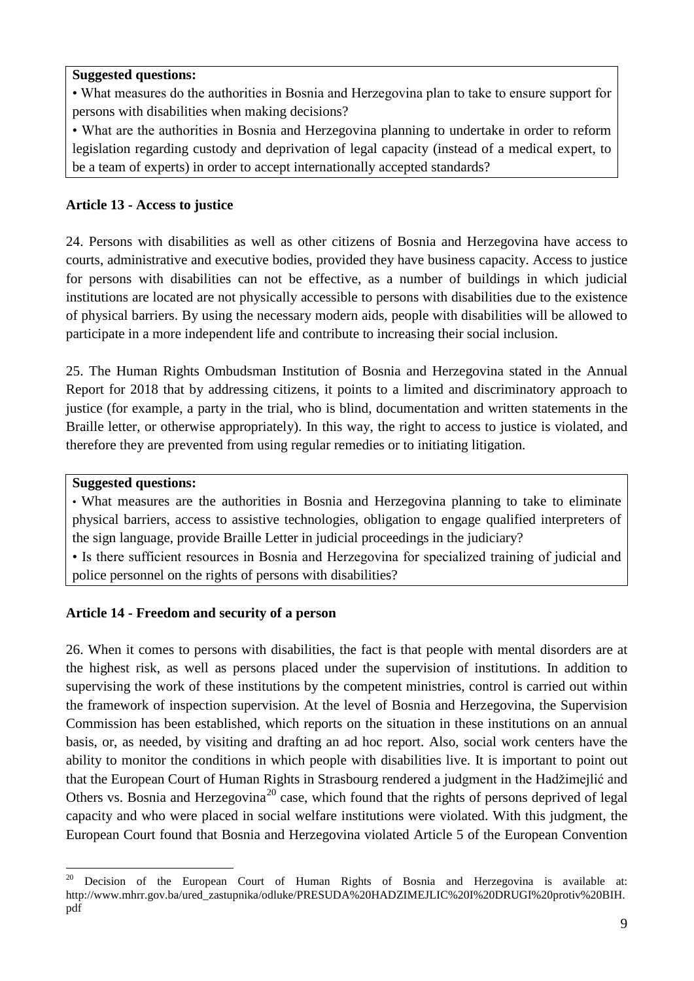• What measures do the authorities in Bosnia and Herzegovina plan to take to ensure support for persons with disabilities when making decisions?

• What are the authorities in Bosnia and Herzegovina planning to undertake in order to reform legislation regarding custody and deprivation of legal capacity (instead of a medical expert, to be a team of experts) in order to accept internationally accepted standards?

# **Article 13 - Access to justice**

24. Persons with disabilities as well as other citizens of Bosnia and Herzegovina have access to courts, administrative and executive bodies, provided they have business capacity. Access to justice for persons with disabilities can not be effective, as a number of buildings in which judicial institutions are located are not physically accessible to persons with disabilities due to the existence of physical barriers. By using the necessary modern aids, people with disabilities will be allowed to participate in a more independent life and contribute to increasing their social inclusion.

25. The Human Rights Ombudsman Institution of Bosnia and Herzegovina stated in the Annual Report for 2018 that by addressing citizens, it points to a limited and discriminatory approach to justice (for example, a party in the trial, who is blind, documentation and written statements in the Braille letter, or otherwise appropriately). In this way, the right to access to justice is violated, and therefore they are prevented from using regular remedies or to initiating litigation.

## **Suggested questions:**

• What measures are the authorities in Bosnia and Herzegovina planning to take to eliminate physical barriers, access to assistive technologies, obligation to engage qualified interpreters of the sign language, provide Braille Letter in judicial proceedings in the judiciary?

• Is there sufficient resources in Bosnia and Herzegovina for specialized training of judicial and police personnel on the rights of persons with disabilities?

# **Article 14 - Freedom and security of a person**

26. When it comes to persons with disabilities, the fact is that people with mental disorders are at the highest risk, as well as persons placed under the supervision of institutions. In addition to supervising the work of these institutions by the competent ministries, control is carried out within the framework of inspection supervision. At the level of Bosnia and Herzegovina, the Supervision Commission has been established, which reports on the situation in these institutions on an annual basis, or, as needed, by visiting and drafting an ad hoc report. Also, social work centers have the ability to monitor the conditions in which people with disabilities live. It is important to point out that the European Court of Human Rights in Strasbourg rendered a judgment in the Hadžimejlić and Others vs. Bosnia and Herzegovina<sup>[20](#page-8-0)</sup> case, which found that the rights of persons deprived of legal capacity and who were placed in social welfare institutions were violated. With this judgment, the European Court found that Bosnia and Herzegovina violated Article 5 of the European Convention

<span id="page-8-0"></span><sup>-</sup><sup>20</sup> Decision of the European Court of Human Rights of Bosnia and Herzegovina is available at: http://www.mhrr.gov.ba/ured\_zastupnika/odluke/PRESUDA%20HADZIMEJLIC%20I%20DRUGI%20protiv%20BIH. pdf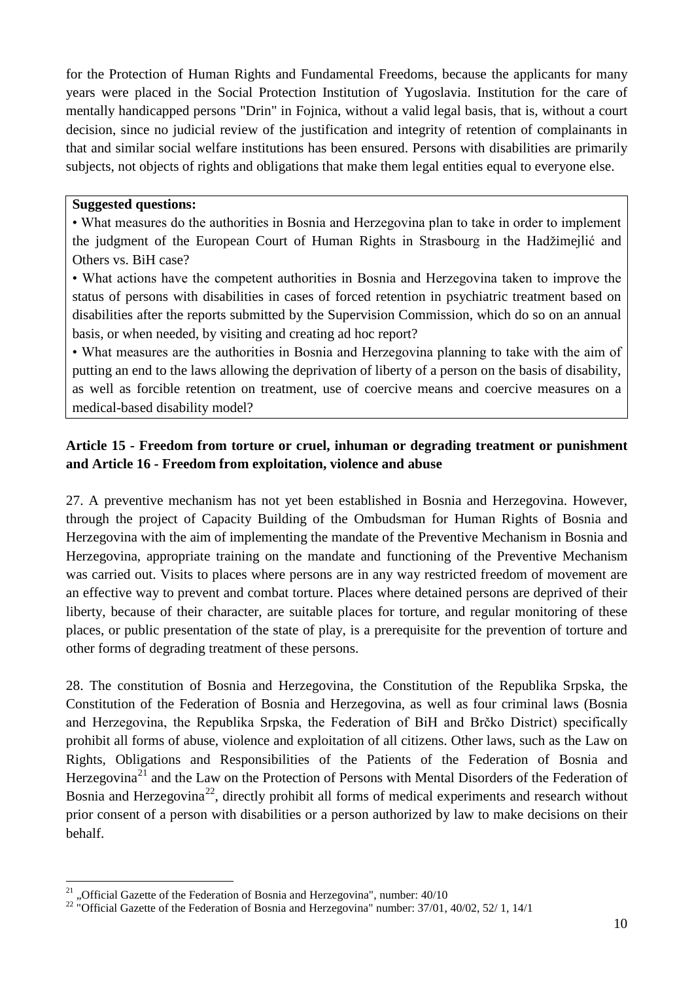for the Protection of Human Rights and Fundamental Freedoms, because the applicants for many years were placed in the Social Protection Institution of Yugoslavia. Institution for the care of mentally handicapped persons "Drin" in Fojnica, without a valid legal basis, that is, without a court decision, since no judicial review of the justification and integrity of retention of complainants in that and similar social welfare institutions has been ensured. Persons with disabilities are primarily subjects, not objects of rights and obligations that make them legal entities equal to everyone else.

#### **Suggested questions:**

• What measures do the authorities in Bosnia and Herzegovina plan to take in order to implement the judgment of the European Court of Human Rights in Strasbourg in the Hadžimejlić and Others vs. BiH case?

• What actions have the competent authorities in Bosnia and Herzegovina taken to improve the status of persons with disabilities in cases of forced retention in psychiatric treatment based on disabilities after the reports submitted by the Supervision Commission, which do so on an annual basis, or when needed, by visiting and creating ad hoc report?

• What measures are the authorities in Bosnia and Herzegovina planning to take with the aim of putting an end to the laws allowing the deprivation of liberty of a person on the basis of disability, as well as forcible retention on treatment, use of coercive means and coercive measures on a medical-based disability model?

# **Article 15 - Freedom from torture or cruel, inhuman or degrading treatment or punishment and Article 16 - Freedom from exploitation, violence and abuse**

27. A preventive mechanism has not yet been established in Bosnia and Herzegovina. However, through the project of Capacity Building of the Ombudsman for Human Rights of Bosnia and Herzegovina with the aim of implementing the mandate of the Preventive Mechanism in Bosnia and Herzegovina, appropriate training on the mandate and functioning of the Preventive Mechanism was carried out. Visits to places where persons are in any way restricted freedom of movement are an effective way to prevent and combat torture. Places where detained persons are deprived of their liberty, because of their character, are suitable places for torture, and regular monitoring of these places, or public presentation of the state of play, is a prerequisite for the prevention of torture and other forms of degrading treatment of these persons.

28. The constitution of Bosnia and Herzegovina, the Constitution of the Republika Srpska, the Constitution of the Federation of Bosnia and Herzegovina, as well as four criminal laws (Bosnia and Herzegovina, the Republika Srpska, the Federation of BiH and Brčko District) specifically prohibit all forms of abuse, violence and exploitation of all citizens. Other laws, such as the Law on Rights, Obligations and Responsibilities of the Patients of the Federation of Bosnia and Herzegovina<sup>[21](#page-9-0)</sup> and the Law on the Protection of Persons with Mental Disorders of the Federation of Bosnia and Herzegovina<sup>[22](#page-9-1)</sup>, directly prohibit all forms of medical experiments and research without prior consent of a person with disabilities or a person authorized by law to make decisions on their behalf.

<span id="page-9-1"></span><span id="page-9-0"></span><sup>&</sup>lt;sup>21</sup> "Official Gazette of the Federation of Bosnia and Herzegovina", number:  $40/10$ <br><sup>22</sup> "Official Gazette of the Federation of Bosnia and Herzegovina" number: 37/01, 40/02, 52/ 1, 14/1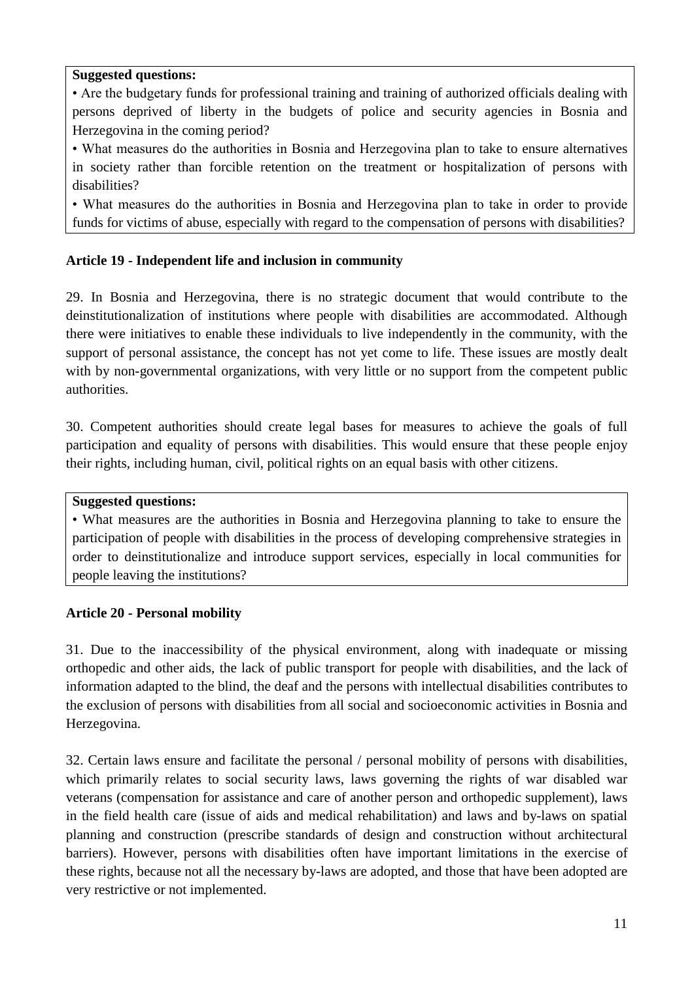• Are the budgetary funds for professional training and training of authorized officials dealing with persons deprived of liberty in the budgets of police and security agencies in Bosnia and Herzegovina in the coming period?

• What measures do the authorities in Bosnia and Herzegovina plan to take to ensure alternatives in society rather than forcible retention on the treatment or hospitalization of persons with disabilities?

• What measures do the authorities in Bosnia and Herzegovina plan to take in order to provide funds for victims of abuse, especially with regard to the compensation of persons with disabilities?

### **Article 19 - Independent life and inclusion in community**

29. In Bosnia and Herzegovina, there is no strategic document that would contribute to the deinstitutionalization of institutions where people with disabilities are accommodated. Although there were initiatives to enable these individuals to live independently in the community, with the support of personal assistance, the concept has not yet come to life. These issues are mostly dealt with by non-governmental organizations, with very little or no support from the competent public authorities.

30. Competent authorities should create legal bases for measures to achieve the goals of full participation and equality of persons with disabilities. This would ensure that these people enjoy their rights, including human, civil, political rights on an equal basis with other citizens.

#### **Suggested questions:**

• What measures are the authorities in Bosnia and Herzegovina planning to take to ensure the participation of people with disabilities in the process of developing comprehensive strategies in order to deinstitutionalize and introduce support services, especially in local communities for people leaving the institutions?

#### **Article 20 - Personal mobility**

31. Due to the inaccessibility of the physical environment, along with inadequate or missing orthopedic and other aids, the lack of public transport for people with disabilities, and the lack of information adapted to the blind, the deaf and the persons with intellectual disabilities contributes to the exclusion of persons with disabilities from all social and socioeconomic activities in Bosnia and Herzegovina.

32. Certain laws ensure and facilitate the personal / personal mobility of persons with disabilities, which primarily relates to social security laws, laws governing the rights of war disabled war veterans (compensation for assistance and care of another person and orthopedic supplement), laws in the field health care (issue of aids and medical rehabilitation) and laws and by-laws on spatial planning and construction (prescribe standards of design and construction without architectural barriers). However, persons with disabilities often have important limitations in the exercise of these rights, because not all the necessary by-laws are adopted, and those that have been adopted are very restrictive or not implemented.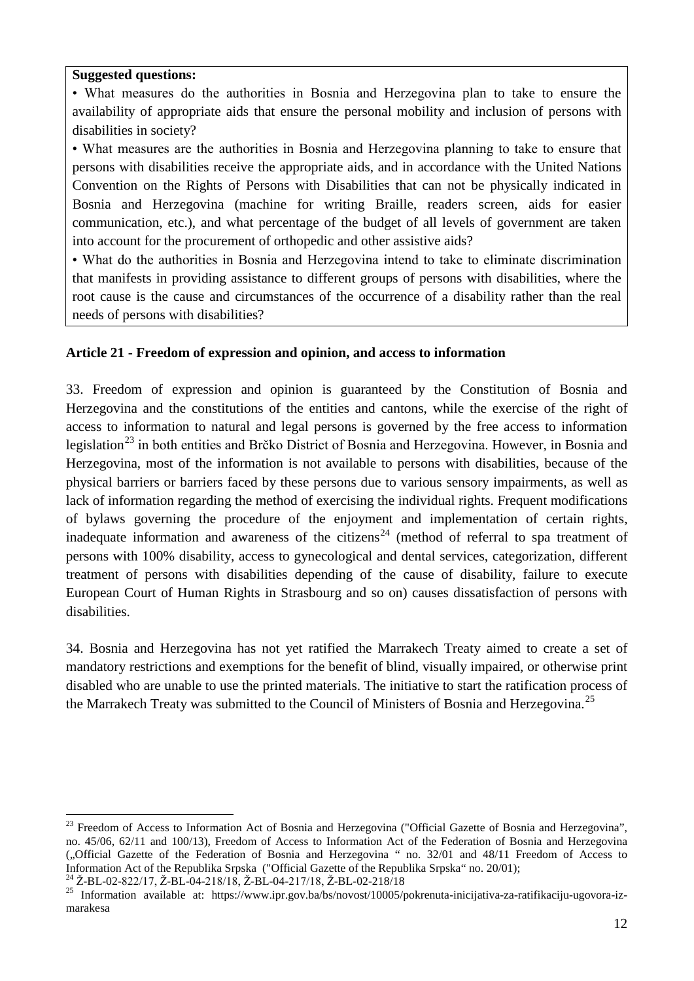• What measures do the authorities in Bosnia and Herzegovina plan to take to ensure the availability of appropriate aids that ensure the personal mobility and inclusion of persons with disabilities in society?

• What measures are the authorities in Bosnia and Herzegovina planning to take to ensure that persons with disabilities receive the appropriate aids, and in accordance with the United Nations Convention on the Rights of Persons with Disabilities that can not be physically indicated in Bosnia and Herzegovina (machine for writing Braille, readers screen, aids for easier communication, etc.), and what percentage of the budget of all levels of government are taken into account for the procurement of orthopedic and other assistive aids?

• What do the authorities in Bosnia and Herzegovina intend to take to eliminate discrimination that manifests in providing assistance to different groups of persons with disabilities, where the root cause is the cause and circumstances of the occurrence of a disability rather than the real needs of persons with disabilities?

## **Article 21 - Freedom of expression and opinion, and access to information**

33. Freedom of expression and opinion is guaranteed by the Constitution of Bosnia and Herzegovina and the constitutions of the entities and cantons, while the exercise of the right of access to information to natural and legal persons is governed by the free access to information legislation<sup>[23](#page-11-0)</sup> in both entities and Brčko District of Bosnia and Herzegovina. However, in Bosnia and Herzegovina, most of the information is not available to persons with disabilities, because of the physical barriers or barriers faced by these persons due to various sensory impairments, as well as lack of information regarding the method of exercising the individual rights. Frequent modifications of bylaws governing the procedure of the enjoyment and implementation of certain rights, inadequate information and awareness of the citizens<sup>24</sup> (method of referral to spa treatment of persons with 100% disability, access to gynecological and dental services, categorization, different treatment of persons with disabilities depending of the cause of disability, failure to execute European Court of Human Rights in Strasbourg and so on) causes dissatisfaction of persons with disabilities.

34. Bosnia and Herzegovina has not yet ratified the Marrakech Treaty aimed to create a set of mandatory restrictions and exemptions for the benefit of blind, visually impaired, or otherwise print disabled who are unable to use the printed materials. The initiative to start the ratification process of the Marrakech Treaty was submitted to the Council of Ministers of Bosnia and Herzegovina.<sup>[25](#page-11-2)</sup>

<span id="page-11-0"></span><sup>-</sup><sup>23</sup> Freedom of Access to Information Act of Bosnia and Herzegovina ("Official Gazette of Bosnia and Herzegovina", no. 45/06, 62/11 and 100/13), Freedom of Access to Information Act of the Federation of Bosnia and Herzegovina ("Official Gazette of the Federation of Bosnia and Herzegovina " no. 32/01 and 48/11 Freedom of Access to Information Act of the Republika Srpska ("Official Gazette of the Republika Srpska" no. 20/01);<br><sup>24</sup> Ž-BL-02-822/17, Ž-BL-04-218/18, Ž-BL-04-217/18, Ž-BL-02-218/18<br><sup>25</sup> Information available at: https://www.ipr.gov.ba/bs/n

<span id="page-11-1"></span>

<span id="page-11-2"></span>marakesa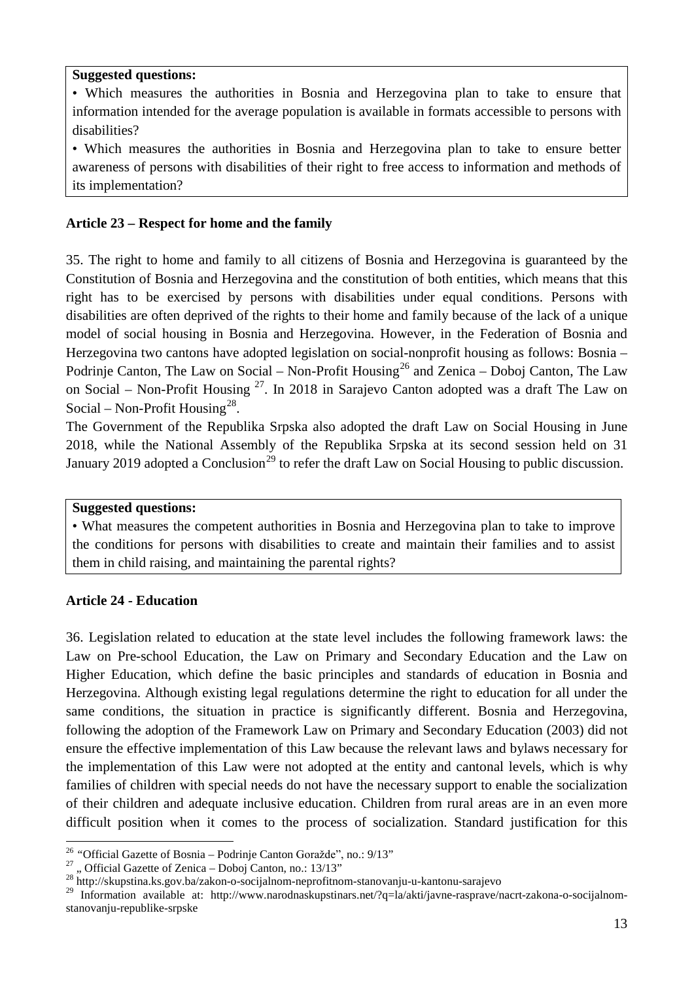• Which measures the authorities in Bosnia and Herzegovina plan to take to ensure that information intended for the average population is available in formats accessible to persons with disabilities?

• Which measures the authorities in Bosnia and Herzegovina plan to take to ensure better awareness of persons with disabilities of their right to free access to information and methods of its implementation?

## **Article 23 – Respect for home and the family**

35. The right to home and family to all citizens of Bosnia and Herzegovina is guaranteed by the Constitution of Bosnia and Herzegovina and the constitution of both entities, which means that this right has to be exercised by persons with disabilities under equal conditions. Persons with disabilities are often deprived of the rights to their home and family because of the lack of a unique model of social housing in Bosnia and Herzegovina. However, in the Federation of Bosnia and Herzegovina two cantons have adopted legislation on social-nonprofit housing as follows: Bosnia – Podrinje Canton, The Law on Social – Non-Profit Housing<sup>[26](#page-12-0)</sup> and Zenica – Doboj Canton, The Law on Social – Non-Profit Housing  $27$ . In 2018 in Sarajevo Canton adopted was a draft The Law on Social – Non-Profit Housing<sup>28</sup>.

The Government of the Republika Srpska also adopted the draft Law on Social Housing in June 2018, while the National Assembly of the Republika Srpska at its second session held on 31 January 2019 adopted a Conclusion<sup>29</sup> to refer the draft Law on Social Housing to public discussion.

### **Suggested questions:**

• What measures the competent authorities in Bosnia and Herzegovina plan to take to improve the conditions for persons with disabilities to create and maintain their families and to assist them in child raising, and maintaining the parental rights?

### **Article 24 - Education**

36. Legislation related to education at the state level includes the following framework laws: the Law on Pre-school Education, the Law on Primary and Secondary Education and the Law on Higher Education, which define the basic principles and standards of education in Bosnia and Herzegovina. Although existing legal regulations determine the right to education for all under the same conditions, the situation in practice is significantly different. Bosnia and Herzegovina, following the adoption of the Framework Law on Primary and Secondary Education (2003) did not ensure the effective implementation of this Law because the relevant laws and bylaws necessary for the implementation of this Law were not adopted at the entity and cantonal levels, which is why families of children with special needs do not have the necessary support to enable the socialization of their children and adequate inclusive education. Children from rural areas are in an even more difficult position when it comes to the process of socialization. Standard justification for this

<sup>-</sup>

<span id="page-12-1"></span>

<span id="page-12-0"></span><sup>&</sup>lt;sup>26</sup> "Official Gazette of Bosnia – Podrinje Canton Goražde", no.: 9/13"<br><sup>27</sup> "Official Gazette of Zenica – Doboj Canton, no.: 13/13"<br><sup>28</sup> http://skupstina.ks.gov.ba/zakon-o-socijalnom-neprofitnom-stanovanju-u-kantonu-sara

<span id="page-12-3"></span><span id="page-12-2"></span><sup>&</sup>lt;sup>29</sup> Information available at: http://www.narodnaskupstinars.net/?q=la/akti/javne-rasprave/nacrt-zakona-o-socijalnomstanovanju-republike-srpske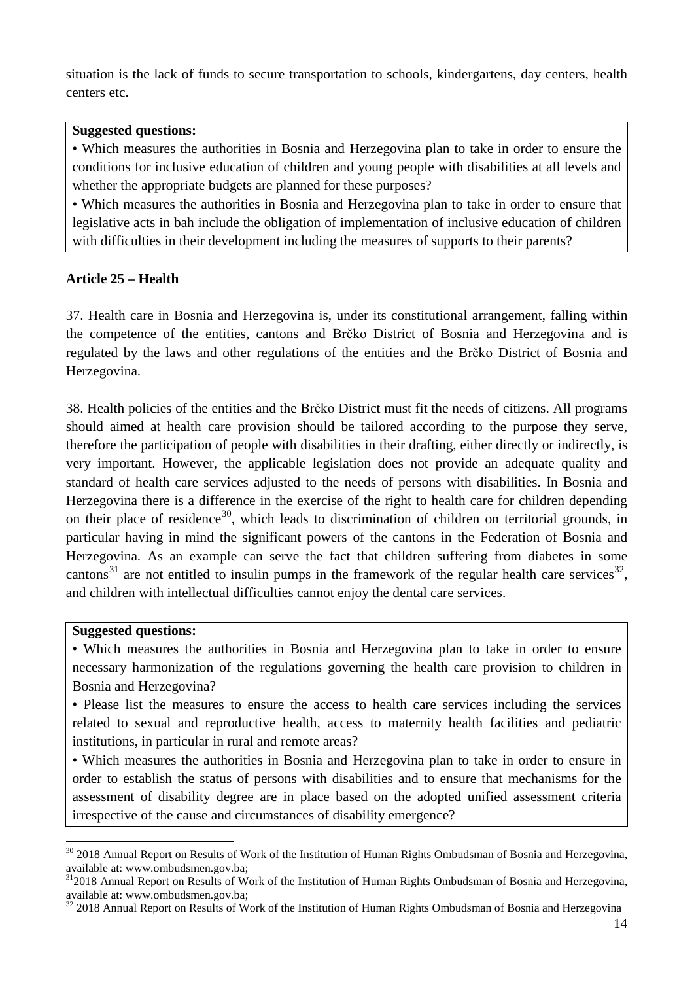situation is the lack of funds to secure transportation to schools, kindergartens, day centers, health centers etc.

#### **Suggested questions:**

• Which measures the authorities in Bosnia and Herzegovina plan to take in order to ensure the conditions for inclusive education of children and young people with disabilities at all levels and whether the appropriate budgets are planned for these purposes?

• Which measures the authorities in Bosnia and Herzegovina plan to take in order to ensure that legislative acts in bah include the obligation of implementation of inclusive education of children with difficulties in their development including the measures of supports to their parents?

#### **Article 25 – Health**

37. Health care in Bosnia and Herzegovina is, under its constitutional arrangement, falling within the competence of the entities, cantons and Brčko District of Bosnia and Herzegovina and is regulated by the laws and other regulations of the entities and the Brčko District of Bosnia and Herzegovina.

38. Health policies of the entities and the Brčko District must fit the needs of citizens. All programs should aimed at health care provision should be tailored according to the purpose they serve, therefore the participation of people with disabilities in their drafting, either directly or indirectly, is very important. However, the applicable legislation does not provide an adequate quality and standard of health care services adjusted to the needs of persons with disabilities. In Bosnia and Herzegovina there is a difference in the exercise of the right to health care for children depending on their place of residence<sup>30</sup>, which leads to discrimination of children on territorial grounds, in particular having in mind the significant powers of the cantons in the Federation of Bosnia and Herzegovina. As an example can serve the fact that children suffering from diabetes in some cantons<sup>[31](#page-13-1)</sup> are not entitled to insulin pumps in the framework of the regular health care services<sup>32</sup>, and children with intellectual difficulties cannot enjoy the dental care services.

#### **Suggested questions:**

-

• Which measures the authorities in Bosnia and Herzegovina plan to take in order to ensure necessary harmonization of the regulations governing the health care provision to children in Bosnia and Herzegovina?

• Please list the measures to ensure the access to health care services including the services related to sexual and reproductive health, access to maternity health facilities and pediatric institutions, in particular in rural and remote areas?

• Which measures the authorities in Bosnia and Herzegovina plan to take in order to ensure in order to establish the status of persons with disabilities and to ensure that mechanisms for the assessment of disability degree are in place based on the adopted unified assessment criteria irrespective of the cause and circumstances of disability emergence?

<span id="page-13-0"></span><sup>&</sup>lt;sup>30</sup> 2018 Annual Report on Results of Work of the Institution of Human Rights Ombudsman of Bosnia and Herzegovina,

<span id="page-13-1"></span>available at: www.ombudsmen.gov.ba;<br><sup>31</sup>2018 Annual Report on Results of Work of the Institution of Human Rights Ombudsman of Bosnia and Herzegovina, available at: www.ombudsmen.gov.ba;

<span id="page-13-2"></span><sup>&</sup>lt;sup>32</sup> 2018 Annual Report on Results of Work of the Institution of Human Rights Ombudsman of Bosnia and Herzegovina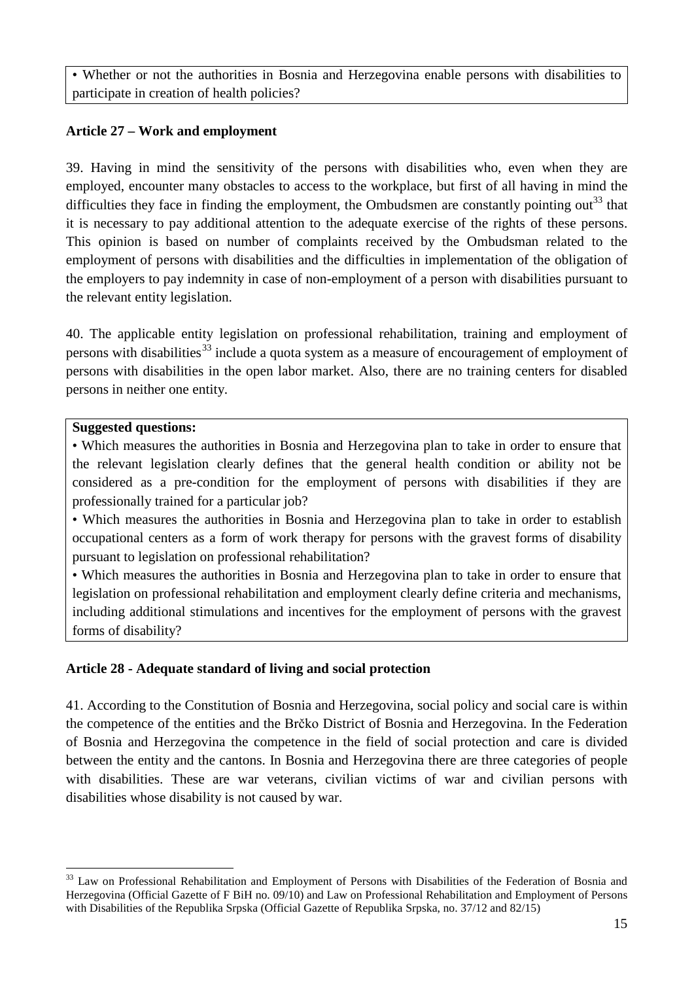• Whether or not the authorities in Bosnia and Herzegovina enable persons with disabilities to participate in creation of health policies?

# **Article 27 – Work and employment**

39. Having in mind the sensitivity of the persons with disabilities who, even when they are employed, encounter many obstacles to access to the workplace, but first of all having in mind the difficulties they face in finding the employment, the Ombudsmen are constantly pointing out<sup>33</sup> that it is necessary to pay additional attention to the adequate exercise of the rights of these persons. This opinion is based on number of complaints received by the Ombudsman related to the employment of persons with disabilities and the difficulties in implementation of the obligation of the employers to pay indemnity in case of non-employment of a person with disabilities pursuant to the relevant entity legislation.

40. The applicable entity legislation on professional rehabilitation, training and employment of persons with disabilities<sup>[33](#page-14-0)</sup> include a quota system as a measure of encouragement of employment of persons with disabilities in the open labor market. Also, there are no training centers for disabled persons in neither one entity.

### **Suggested questions:**

• Which measures the authorities in Bosnia and Herzegovina plan to take in order to ensure that the relevant legislation clearly defines that the general health condition or ability not be considered as a pre-condition for the employment of persons with disabilities if they are professionally trained for a particular job?

• Which measures the authorities in Bosnia and Herzegovina plan to take in order to establish occupational centers as a form of work therapy for persons with the gravest forms of disability pursuant to legislation on professional rehabilitation?

• Which measures the authorities in Bosnia and Herzegovina plan to take in order to ensure that legislation on professional rehabilitation and employment clearly define criteria and mechanisms, including additional stimulations and incentives for the employment of persons with the gravest forms of disability?

# **Article 28 - Adequate standard of living and social protection**

41. According to the Constitution of Bosnia and Herzegovina, social policy and social care is within the competence of the entities and the Brčko District of Bosnia and Herzegovina. In the Federation of Bosnia and Herzegovina the competence in the field of social protection and care is divided between the entity and the cantons. In Bosnia and Herzegovina there are three categories of people with disabilities. These are war veterans, civilian victims of war and civilian persons with disabilities whose disability is not caused by war.

<span id="page-14-0"></span><sup>-</sup><sup>33</sup> Law on Professional Rehabilitation and Employment of Persons with Disabilities of the Federation of Bosnia and Herzegovina (Official Gazette of F BiH no. 09/10) and Law on Professional Rehabilitation and Employment of Persons with Disabilities of the Republika Srpska (Official Gazette of Republika Srpska, no. 37/12 and 82/15)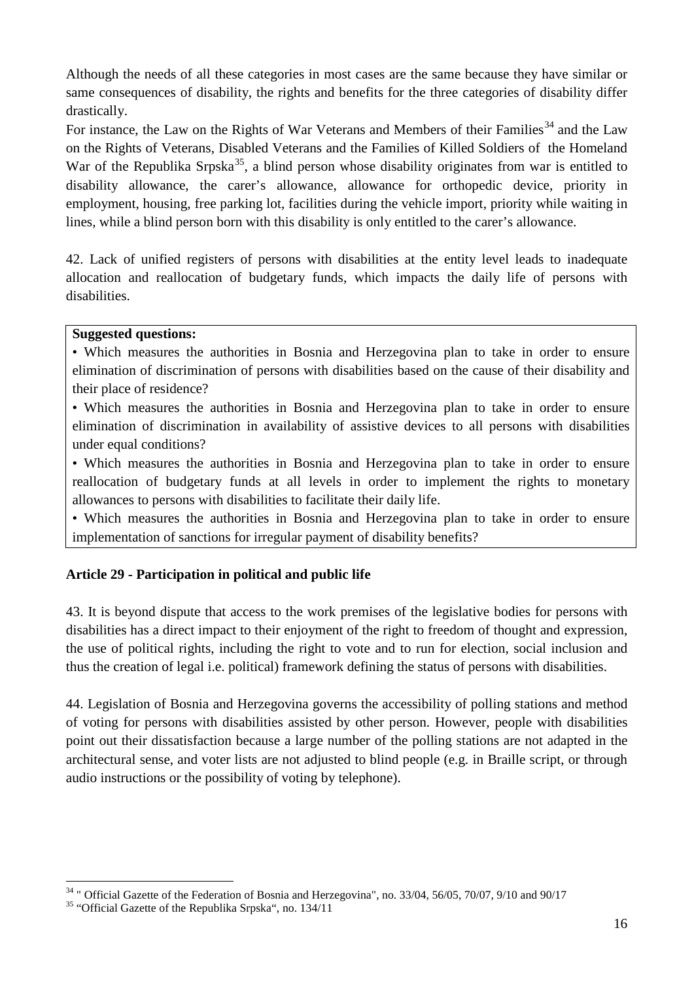Although the needs of all these categories in most cases are the same because they have similar or same consequences of disability, the rights and benefits for the three categories of disability differ drastically.

For instance, the Law on the Rights of War Veterans and Members of their Families<sup>[34](#page-15-0)</sup> and the Law on the Rights of Veterans, Disabled Veterans and the Families of Killed Soldiers of the Homeland War of the Republika Srpska<sup>35</sup>, a blind person whose disability originates from war is entitled to disability allowance, the carer's allowance, allowance for orthopedic device, priority in employment, housing, free parking lot, facilities during the vehicle import, priority while waiting in lines, while a blind person born with this disability is only entitled to the carer's allowance.

42. Lack of unified registers of persons with disabilities at the entity level leads to inadequate allocation and reallocation of budgetary funds, which impacts the daily life of persons with disabilities.

### **Suggested questions:**

• Which measures the authorities in Bosnia and Herzegovina plan to take in order to ensure elimination of discrimination of persons with disabilities based on the cause of their disability and their place of residence?

• Which measures the authorities in Bosnia and Herzegovina plan to take in order to ensure elimination of discrimination in availability of assistive devices to all persons with disabilities under equal conditions?

• Which measures the authorities in Bosnia and Herzegovina plan to take in order to ensure reallocation of budgetary funds at all levels in order to implement the rights to monetary allowances to persons with disabilities to facilitate their daily life.

• Which measures the authorities in Bosnia and Herzegovina plan to take in order to ensure implementation of sanctions for irregular payment of disability benefits?

# **Article 29 - Participation in political and public life**

43. It is beyond dispute that access to the work premises of the legislative bodies for persons with disabilities has a direct impact to their enjoyment of the right to freedom of thought and expression, the use of political rights, including the right to vote and to run for election, social inclusion and thus the creation of legal i.e. political) framework defining the status of persons with disabilities.

44. Legislation of Bosnia and Herzegovina governs the accessibility of polling stations and method of voting for persons with disabilities assisted by other person. However, people with disabilities point out their dissatisfaction because a large number of the polling stations are not adapted in the architectural sense, and voter lists are not adjusted to blind people (e.g. in Braille script, or through audio instructions or the possibility of voting by telephone).

<span id="page-15-0"></span><sup>&</sup>lt;sup>34</sup> " Official Gazette of the Federation of Bosnia and Herzegovina", no. 33/04, 56/05, 70/07, 9/10 and 90/17 <sup>35</sup> "Official Gazette of the Republika Srpska", no. 134/11

<span id="page-15-1"></span>